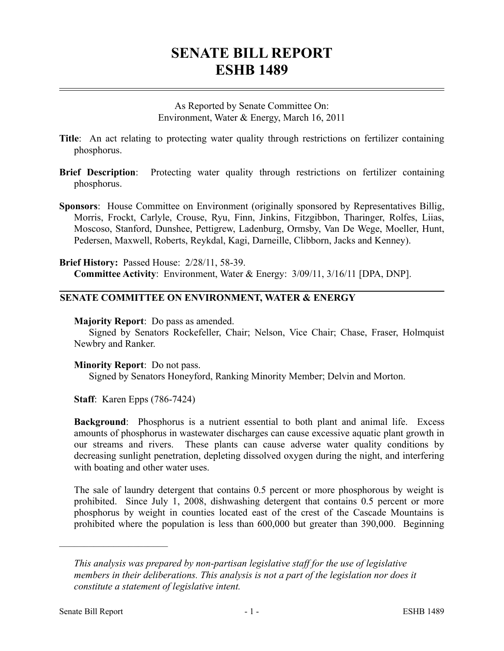## **SENATE BILL REPORT ESHB 1489**

As Reported by Senate Committee On: Environment, Water & Energy, March 16, 2011

- **Title**: An act relating to protecting water quality through restrictions on fertilizer containing phosphorus.
- **Brief Description**: Protecting water quality through restrictions on fertilizer containing phosphorus.
- **Sponsors**: House Committee on Environment (originally sponsored by Representatives Billig, Morris, Frockt, Carlyle, Crouse, Ryu, Finn, Jinkins, Fitzgibbon, Tharinger, Rolfes, Liias, Moscoso, Stanford, Dunshee, Pettigrew, Ladenburg, Ormsby, Van De Wege, Moeller, Hunt, Pedersen, Maxwell, Roberts, Reykdal, Kagi, Darneille, Clibborn, Jacks and Kenney).

**Brief History:** Passed House: 2/28/11, 58-39. **Committee Activity**: Environment, Water & Energy: 3/09/11, 3/16/11 [DPA, DNP].

## **SENATE COMMITTEE ON ENVIRONMENT, WATER & ENERGY**

**Majority Report**: Do pass as amended.

Signed by Senators Rockefeller, Chair; Nelson, Vice Chair; Chase, Fraser, Holmquist Newbry and Ranker.

**Minority Report**: Do not pass.

Signed by Senators Honeyford, Ranking Minority Member; Delvin and Morton.

**Staff**: Karen Epps (786-7424)

**Background**: Phosphorus is a nutrient essential to both plant and animal life. Excess amounts of phosphorus in wastewater discharges can cause excessive aquatic plant growth in our streams and rivers. These plants can cause adverse water quality conditions by decreasing sunlight penetration, depleting dissolved oxygen during the night, and interfering with boating and other water uses.

The sale of laundry detergent that contains 0.5 percent or more phosphorous by weight is prohibited. Since July 1, 2008, dishwashing detergent that contains 0.5 percent or more phosphorus by weight in counties located east of the crest of the Cascade Mountains is prohibited where the population is less than 600,000 but greater than 390,000. Beginning

––––––––––––––––––––––

*This analysis was prepared by non-partisan legislative staff for the use of legislative members in their deliberations. This analysis is not a part of the legislation nor does it constitute a statement of legislative intent.*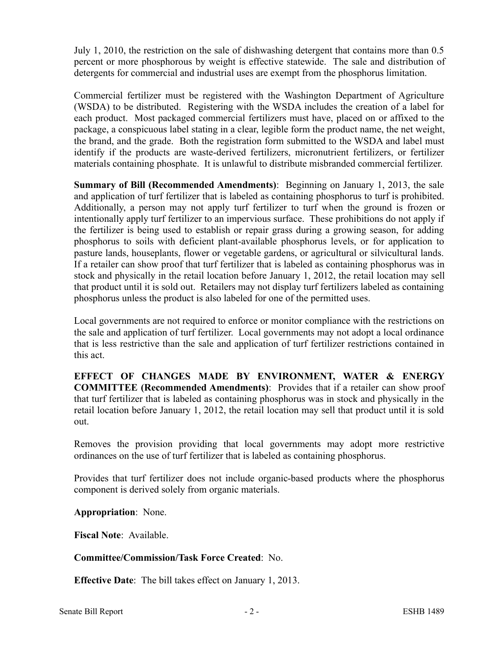July 1, 2010, the restriction on the sale of dishwashing detergent that contains more than 0.5 percent or more phosphorous by weight is effective statewide. The sale and distribution of detergents for commercial and industrial uses are exempt from the phosphorus limitation.

Commercial fertilizer must be registered with the Washington Department of Agriculture (WSDA) to be distributed. Registering with the WSDA includes the creation of a label for each product. Most packaged commercial fertilizers must have, placed on or affixed to the package, a conspicuous label stating in a clear, legible form the product name, the net weight, the brand, and the grade. Both the registration form submitted to the WSDA and label must identify if the products are waste-derived fertilizers, micronutrient fertilizers, or fertilizer materials containing phosphate. It is unlawful to distribute misbranded commercial fertilizer.

**Summary of Bill (Recommended Amendments)**: Beginning on January 1, 2013, the sale and application of turf fertilizer that is labeled as containing phosphorus to turf is prohibited. Additionally, a person may not apply turf fertilizer to turf when the ground is frozen or intentionally apply turf fertilizer to an impervious surface. These prohibitions do not apply if the fertilizer is being used to establish or repair grass during a growing season, for adding phosphorus to soils with deficient plant-available phosphorus levels, or for application to pasture lands, houseplants, flower or vegetable gardens, or agricultural or silvicultural lands. If a retailer can show proof that turf fertilizer that is labeled as containing phosphorus was in stock and physically in the retail location before January 1, 2012, the retail location may sell that product until it is sold out. Retailers may not display turf fertilizers labeled as containing phosphorus unless the product is also labeled for one of the permitted uses.

Local governments are not required to enforce or monitor compliance with the restrictions on the sale and application of turf fertilizer. Local governments may not adopt a local ordinance that is less restrictive than the sale and application of turf fertilizer restrictions contained in this act.

**EFFECT OF CHANGES MADE BY ENVIRONMENT, WATER & ENERGY COMMITTEE (Recommended Amendments)**: Provides that if a retailer can show proof that turf fertilizer that is labeled as containing phosphorus was in stock and physically in the retail location before January 1, 2012, the retail location may sell that product until it is sold out.

Removes the provision providing that local governments may adopt more restrictive ordinances on the use of turf fertilizer that is labeled as containing phosphorus.

Provides that turf fertilizer does not include organic-based products where the phosphorus component is derived solely from organic materials.

**Appropriation**: None.

**Fiscal Note**: Available.

**Committee/Commission/Task Force Created**: No.

**Effective Date**: The bill takes effect on January 1, 2013.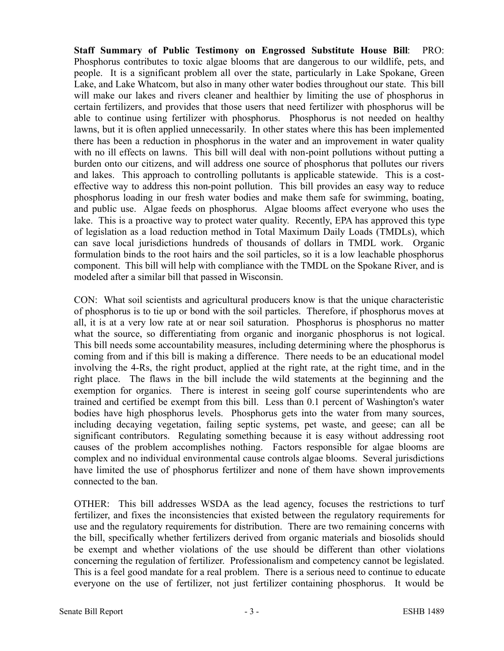**Staff Summary of Public Testimony on Engrossed Substitute House Bill**: PRO: Phosphorus contributes to toxic algae blooms that are dangerous to our wildlife, pets, and people. It is a significant problem all over the state, particularly in Lake Spokane, Green Lake, and Lake Whatcom, but also in many other water bodies throughout our state. This bill will make our lakes and rivers cleaner and healthier by limiting the use of phosphorus in certain fertilizers, and provides that those users that need fertilizer with phosphorus will be able to continue using fertilizer with phosphorus. Phosphorus is not needed on healthy lawns, but it is often applied unnecessarily. In other states where this has been implemented there has been a reduction in phosphorus in the water and an improvement in water quality with no ill effects on lawns. This bill will deal with non-point pollutions without putting a burden onto our citizens, and will address one source of phosphorus that pollutes our rivers and lakes. This approach to controlling pollutants is applicable statewide. This is a costeffective way to address this non-point pollution. This bill provides an easy way to reduce phosphorus loading in our fresh water bodies and make them safe for swimming, boating, and public use. Algae feeds on phosphorus. Algae blooms affect everyone who uses the lake. This is a proactive way to protect water quality. Recently, EPA has approved this type of legislation as a load reduction method in Total Maximum Daily Loads (TMDLs), which can save local jurisdictions hundreds of thousands of dollars in TMDL work. Organic formulation binds to the root hairs and the soil particles, so it is a low leachable phosphorus component. This bill will help with compliance with the TMDL on the Spokane River, and is modeled after a similar bill that passed in Wisconsin.

CON: What soil scientists and agricultural producers know is that the unique characteristic of phosphorus is to tie up or bond with the soil particles. Therefore, if phosphorus moves at all, it is at a very low rate at or near soil saturation. Phosphorus is phosphorus no matter what the source, so differentiating from organic and inorganic phosphorus is not logical. This bill needs some accountability measures, including determining where the phosphorus is coming from and if this bill is making a difference. There needs to be an educational model involving the 4-Rs, the right product, applied at the right rate, at the right time, and in the right place. The flaws in the bill include the wild statements at the beginning and the exemption for organics. There is interest in seeing golf course superintendents who are trained and certified be exempt from this bill. Less than 0.1 percent of Washington's water bodies have high phosphorus levels. Phosphorus gets into the water from many sources, including decaying vegetation, failing septic systems, pet waste, and geese; can all be significant contributors. Regulating something because it is easy without addressing root causes of the problem accomplishes nothing. Factors responsible for algae blooms are complex and no individual environmental cause controls algae blooms. Several jurisdictions have limited the use of phosphorus fertilizer and none of them have shown improvements connected to the ban.

OTHER: This bill addresses WSDA as the lead agency, focuses the restrictions to turf fertilizer, and fixes the inconsistencies that existed between the regulatory requirements for use and the regulatory requirements for distribution. There are two remaining concerns with the bill, specifically whether fertilizers derived from organic materials and biosolids should be exempt and whether violations of the use should be different than other violations concerning the regulation of fertilizer. Professionalism and competency cannot be legislated. This is a feel good mandate for a real problem. There is a serious need to continue to educate everyone on the use of fertilizer, not just fertilizer containing phosphorus. It would be